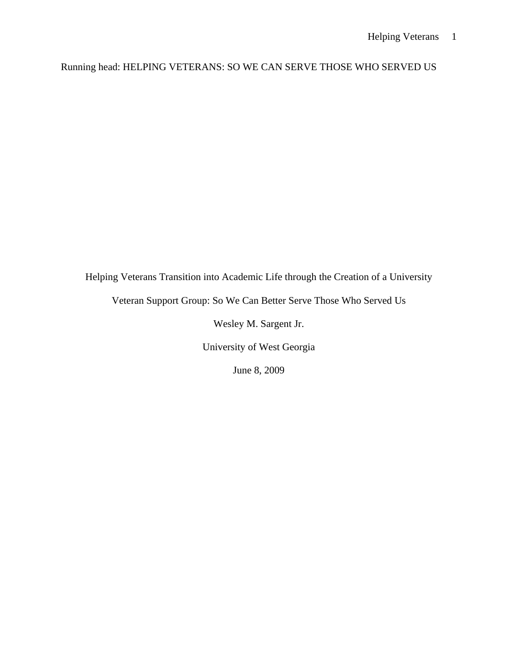# Running head: HELPING VETERANS: SO WE CAN SERVE THOSE WHO SERVED US

Helping Veterans Transition into Academic Life through the Creation of a University

Veteran Support Group: So We Can Better Serve Those Who Served Us

Wesley M. Sargent Jr.

University of West Georgia

June 8, 2009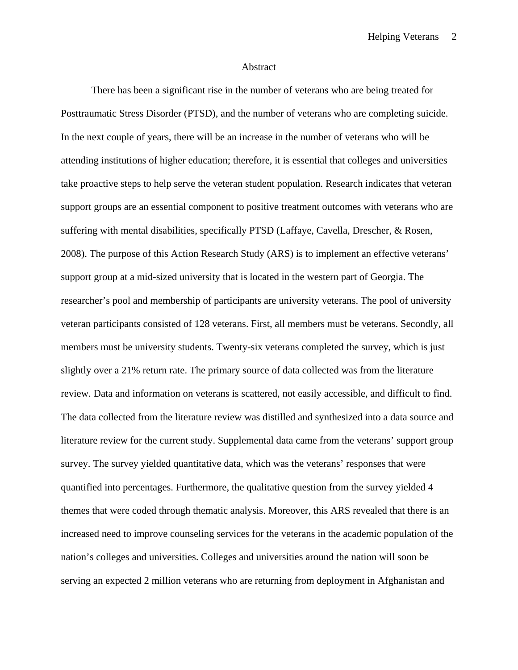#### Abstract

There has been a significant rise in the number of veterans who are being treated for Posttraumatic Stress Disorder (PTSD), and the number of veterans who are completing suicide. In the next couple of years, there will be an increase in the number of veterans who will be attending institutions of higher education; therefore, it is essential that colleges and universities take proactive steps to help serve the veteran student population. Research indicates that veteran support groups are an essential component to positive treatment outcomes with veterans who are suffering with mental disabilities, specifically PTSD (Laffaye, Cavella, Drescher, & Rosen, 2008). The purpose of this Action Research Study (ARS) is to implement an effective veterans' support group at a mid-sized university that is located in the western part of Georgia. The researcher's pool and membership of participants are university veterans. The pool of university veteran participants consisted of 128 veterans. First, all members must be veterans. Secondly, all members must be university students. Twenty-six veterans completed the survey, which is just slightly over a 21% return rate. The primary source of data collected was from the literature review. Data and information on veterans is scattered, not easily accessible, and difficult to find. The data collected from the literature review was distilled and synthesized into a data source and literature review for the current study. Supplemental data came from the veterans' support group survey. The survey yielded quantitative data, which was the veterans' responses that were quantified into percentages. Furthermore, the qualitative question from the survey yielded 4 themes that were coded through thematic analysis. Moreover, this ARS revealed that there is an increased need to improve counseling services for the veterans in the academic population of the nation's colleges and universities. Colleges and universities around the nation will soon be serving an expected 2 million veterans who are returning from deployment in Afghanistan and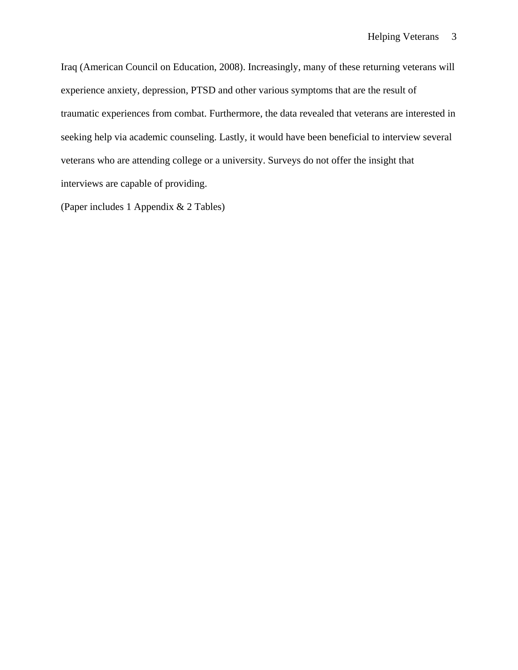Iraq (American Council on Education, 2008). Increasingly, many of these returning veterans will experience anxiety, depression, PTSD and other various symptoms that are the result of traumatic experiences from combat. Furthermore, the data revealed that veterans are interested in seeking help via academic counseling. Lastly, it would have been beneficial to interview several veterans who are attending college or a university. Surveys do not offer the insight that interviews are capable of providing.

(Paper includes 1 Appendix & 2 Tables)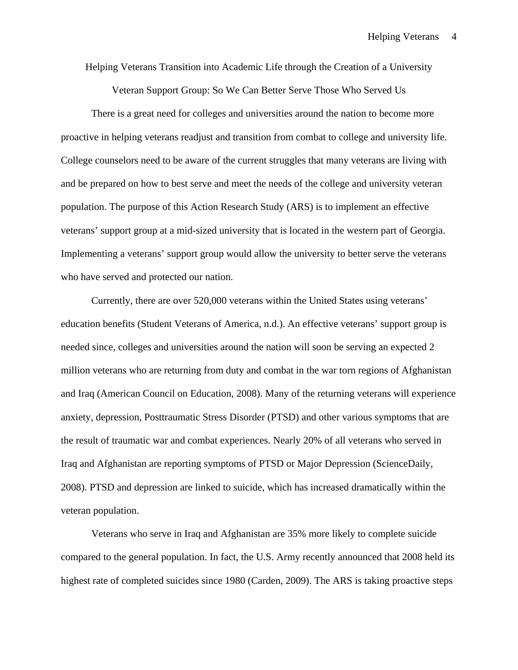Helping Veterans Transition into Academic Life through the Creation of a University

Veteran Support Group: So We Can Better Serve Those Who Served Us

There is a great need for colleges and universities around the nation to become more proactive in helping veterans readjust and transition from combat to college and university life. College counselors need to be aware of the current struggles that many veterans are living with and be prepared on how to best serve and meet the needs of the college and university veteran population. The purpose of this Action Research Study (ARS) is to implement an effective veterans' support group at a mid-sized university that is located in the western part of Georgia. Implementing a veterans' support group would allow the university to better serve the veterans who have served and protected our nation.

Currently, there are over 520,000 veterans within the United States using veterans' education benefits (Student Veterans of America, n.d.). An effective veterans' support group is needed since, colleges and universities around the nation will soon be serving an expected 2 million veterans who are returning from duty and combat in the war torn regions of Afghanistan and Iraq (American Council on Education, 2008). Many of the returning veterans will experience anxiety, depression, Posttraumatic Stress Disorder (PTSD) and other various symptoms that are the result of traumatic war and combat experiences. Nearly 20% of all veterans who served in Iraq and Afghanistan are reporting symptoms of PTSD or Major Depression (ScienceDaily, 2008). PTSD and depression are linked to suicide, which has increased dramatically within the veteran population.

Veterans who serve in Iraq and Afghanistan are 35% more likely to complete suicide compared to the general population. In fact, the U.S. Army recently announced that 2008 held its highest rate of completed suicides since 1980 (Carden, 2009). The ARS is taking proactive steps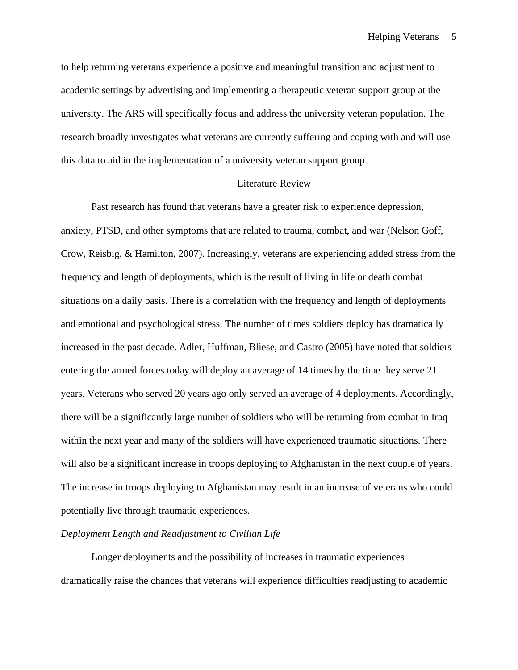to help returning veterans experience a positive and meaningful transition and adjustment to academic settings by advertising and implementing a therapeutic veteran support group at the university. The ARS will specifically focus and address the university veteran population. The research broadly investigates what veterans are currently suffering and coping with and will use this data to aid in the implementation of a university veteran support group.

#### Literature Review

Past research has found that veterans have a greater risk to experience depression, anxiety, PTSD, and other symptoms that are related to trauma, combat, and war (Nelson Goff, Crow, Reisbig, & Hamilton, 2007). Increasingly, veterans are experiencing added stress from the frequency and length of deployments, which is the result of living in life or death combat situations on a daily basis. There is a correlation with the frequency and length of deployments and emotional and psychological stress. The number of times soldiers deploy has dramatically increased in the past decade. Adler, Huffman, Bliese, and Castro (2005) have noted that soldiers entering the armed forces today will deploy an average of 14 times by the time they serve 21 years. Veterans who served 20 years ago only served an average of 4 deployments. Accordingly, there will be a significantly large number of soldiers who will be returning from combat in Iraq within the next year and many of the soldiers will have experienced traumatic situations. There will also be a significant increase in troops deploying to Afghanistan in the next couple of years. The increase in troops deploying to Afghanistan may result in an increase of veterans who could potentially live through traumatic experiences.

#### *Deployment Length and Readjustment to Civilian Life*

Longer deployments and the possibility of increases in traumatic experiences dramatically raise the chances that veterans will experience difficulties readjusting to academic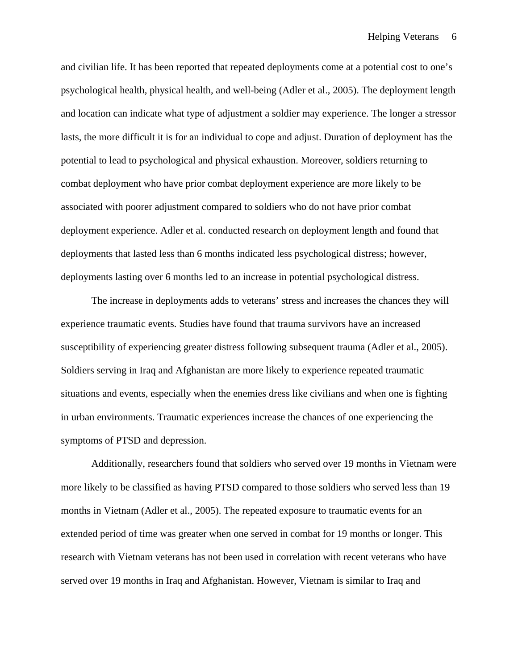and civilian life. It has been reported that repeated deployments come at a potential cost to one's psychological health, physical health, and well-being (Adler et al., 2005). The deployment length and location can indicate what type of adjustment a soldier may experience. The longer a stressor lasts, the more difficult it is for an individual to cope and adjust. Duration of deployment has the potential to lead to psychological and physical exhaustion. Moreover, soldiers returning to combat deployment who have prior combat deployment experience are more likely to be associated with poorer adjustment compared to soldiers who do not have prior combat deployment experience. Adler et al. conducted research on deployment length and found that deployments that lasted less than 6 months indicated less psychological distress; however, deployments lasting over 6 months led to an increase in potential psychological distress.

The increase in deployments adds to veterans' stress and increases the chances they will experience traumatic events. Studies have found that trauma survivors have an increased susceptibility of experiencing greater distress following subsequent trauma (Adler et al., 2005). Soldiers serving in Iraq and Afghanistan are more likely to experience repeated traumatic situations and events, especially when the enemies dress like civilians and when one is fighting in urban environments. Traumatic experiences increase the chances of one experiencing the symptoms of PTSD and depression.

Additionally, researchers found that soldiers who served over 19 months in Vietnam were more likely to be classified as having PTSD compared to those soldiers who served less than 19 months in Vietnam (Adler et al., 2005). The repeated exposure to traumatic events for an extended period of time was greater when one served in combat for 19 months or longer. This research with Vietnam veterans has not been used in correlation with recent veterans who have served over 19 months in Iraq and Afghanistan. However, Vietnam is similar to Iraq and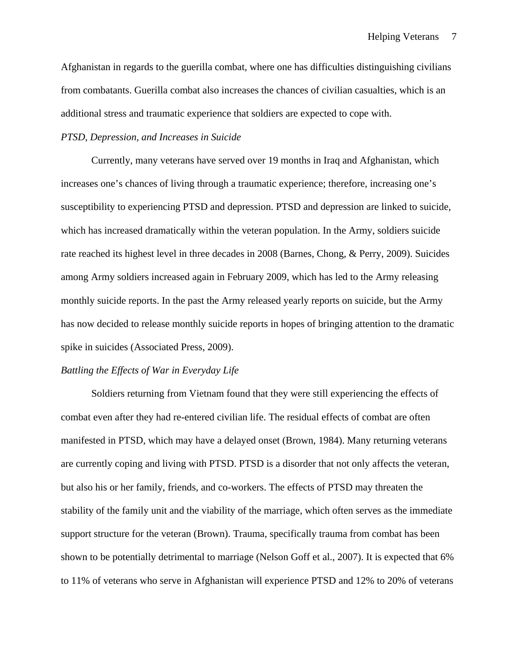Afghanistan in regards to the guerilla combat, where one has difficulties distinguishing civilians from combatants. Guerilla combat also increases the chances of civilian casualties, which is an additional stress and traumatic experience that soldiers are expected to cope with.

### *PTSD, Depression, and Increases in Suicide*

Currently, many veterans have served over 19 months in Iraq and Afghanistan, which increases one's chances of living through a traumatic experience; therefore, increasing one's susceptibility to experiencing PTSD and depression. PTSD and depression are linked to suicide, which has increased dramatically within the veteran population. In the Army, soldiers suicide rate reached its highest level in three decades in 2008 (Barnes, Chong, & Perry, 2009). Suicides among Army soldiers increased again in February 2009, which has led to the Army releasing monthly suicide reports. In the past the Army released yearly reports on suicide, but the Army has now decided to release monthly suicide reports in hopes of bringing attention to the dramatic spike in suicides (Associated Press, 2009).

### *Battling the Effects of War in Everyday Life*

 Soldiers returning from Vietnam found that they were still experiencing the effects of combat even after they had re-entered civilian life. The residual effects of combat are often manifested in PTSD, which may have a delayed onset (Brown, 1984). Many returning veterans are currently coping and living with PTSD. PTSD is a disorder that not only affects the veteran, but also his or her family, friends, and co-workers. The effects of PTSD may threaten the stability of the family unit and the viability of the marriage, which often serves as the immediate support structure for the veteran (Brown). Trauma, specifically trauma from combat has been shown to be potentially detrimental to marriage (Nelson Goff et al., 2007). It is expected that 6% to 11% of veterans who serve in Afghanistan will experience PTSD and 12% to 20% of veterans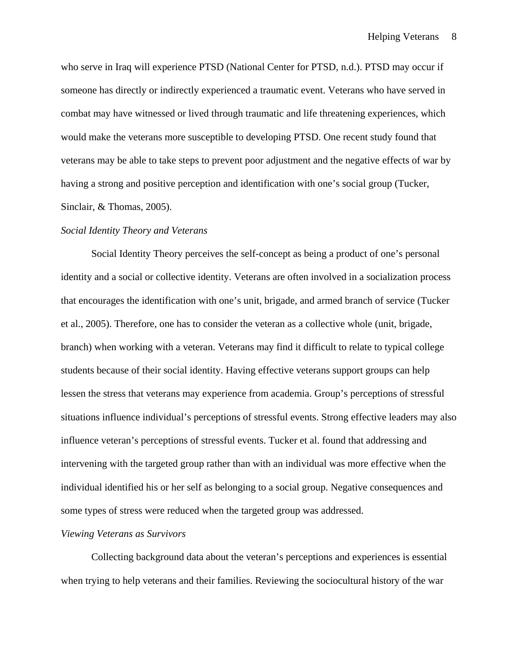who serve in Iraq will experience PTSD (National Center for PTSD, n.d.). PTSD may occur if someone has directly or indirectly experienced a traumatic event. Veterans who have served in combat may have witnessed or lived through traumatic and life threatening experiences, which would make the veterans more susceptible to developing PTSD. One recent study found that veterans may be able to take steps to prevent poor adjustment and the negative effects of war by having a strong and positive perception and identification with one's social group (Tucker,

Sinclair, & Thomas, 2005).

#### *Social Identity Theory and Veterans*

Social Identity Theory perceives the self-concept as being a product of one's personal identity and a social or collective identity. Veterans are often involved in a socialization process that encourages the identification with one's unit, brigade, and armed branch of service (Tucker et al., 2005). Therefore, one has to consider the veteran as a collective whole (unit, brigade, branch) when working with a veteran. Veterans may find it difficult to relate to typical college students because of their social identity. Having effective veterans support groups can help lessen the stress that veterans may experience from academia. Group's perceptions of stressful situations influence individual's perceptions of stressful events. Strong effective leaders may also influence veteran's perceptions of stressful events. Tucker et al. found that addressing and intervening with the targeted group rather than with an individual was more effective when the individual identified his or her self as belonging to a social group. Negative consequences and some types of stress were reduced when the targeted group was addressed.

### *Viewing Veterans as Survivors*

 Collecting background data about the veteran's perceptions and experiences is essential when trying to help veterans and their families. Reviewing the sociocultural history of the war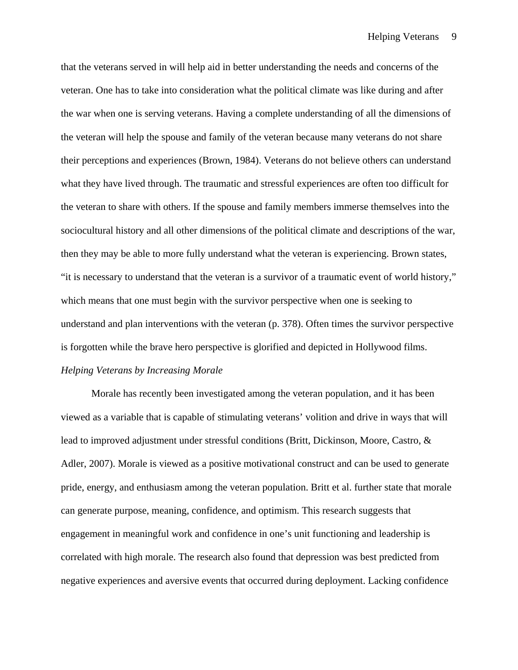that the veterans served in will help aid in better understanding the needs and concerns of the veteran. One has to take into consideration what the political climate was like during and after the war when one is serving veterans. Having a complete understanding of all the dimensions of the veteran will help the spouse and family of the veteran because many veterans do not share their perceptions and experiences (Brown, 1984). Veterans do not believe others can understand what they have lived through. The traumatic and stressful experiences are often too difficult for the veteran to share with others. If the spouse and family members immerse themselves into the sociocultural history and all other dimensions of the political climate and descriptions of the war, then they may be able to more fully understand what the veteran is experiencing. Brown states, "it is necessary to understand that the veteran is a survivor of a traumatic event of world history," which means that one must begin with the survivor perspective when one is seeking to understand and plan interventions with the veteran (p. 378). Often times the survivor perspective is forgotten while the brave hero perspective is glorified and depicted in Hollywood films. *Helping Veterans by Increasing Morale* 

 Morale has recently been investigated among the veteran population, and it has been viewed as a variable that is capable of stimulating veterans' volition and drive in ways that will lead to improved adjustment under stressful conditions (Britt, Dickinson, Moore, Castro, & Adler, 2007). Morale is viewed as a positive motivational construct and can be used to generate pride, energy, and enthusiasm among the veteran population. Britt et al. further state that morale can generate purpose, meaning, confidence, and optimism. This research suggests that engagement in meaningful work and confidence in one's unit functioning and leadership is correlated with high morale. The research also found that depression was best predicted from negative experiences and aversive events that occurred during deployment. Lacking confidence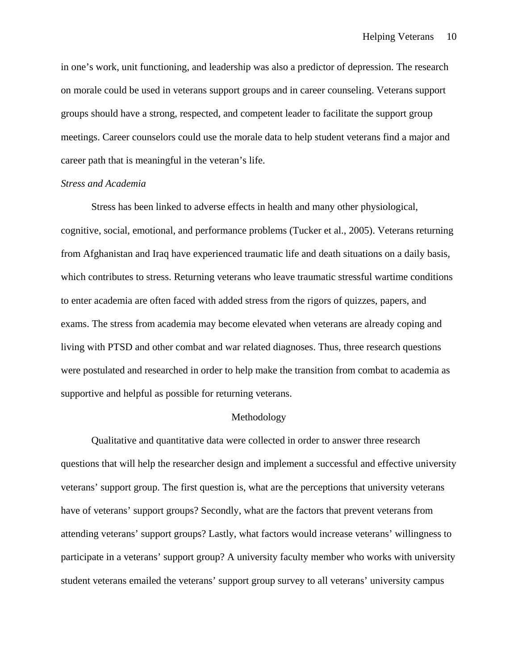in one's work, unit functioning, and leadership was also a predictor of depression. The research on morale could be used in veterans support groups and in career counseling. Veterans support groups should have a strong, respected, and competent leader to facilitate the support group meetings. Career counselors could use the morale data to help student veterans find a major and career path that is meaningful in the veteran's life.

#### *Stress and Academia*

Stress has been linked to adverse effects in health and many other physiological, cognitive, social, emotional, and performance problems (Tucker et al., 2005). Veterans returning from Afghanistan and Iraq have experienced traumatic life and death situations on a daily basis, which contributes to stress. Returning veterans who leave traumatic stressful wartime conditions to enter academia are often faced with added stress from the rigors of quizzes, papers, and exams. The stress from academia may become elevated when veterans are already coping and living with PTSD and other combat and war related diagnoses. Thus, three research questions were postulated and researched in order to help make the transition from combat to academia as supportive and helpful as possible for returning veterans.

#### Methodology

Qualitative and quantitative data were collected in order to answer three research questions that will help the researcher design and implement a successful and effective university veterans' support group. The first question is, what are the perceptions that university veterans have of veterans' support groups? Secondly, what are the factors that prevent veterans from attending veterans' support groups? Lastly, what factors would increase veterans' willingness to participate in a veterans' support group? A university faculty member who works with university student veterans emailed the veterans' support group survey to all veterans' university campus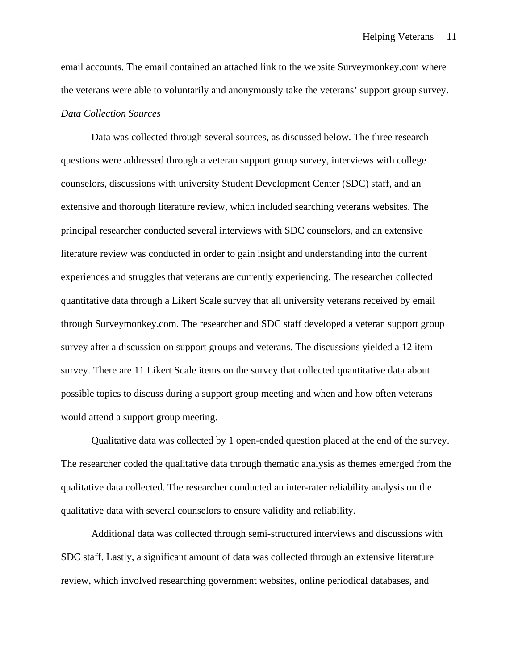email accounts. The email contained an attached link to the website Surveymonkey.com where the veterans were able to voluntarily and anonymously take the veterans' support group survey. *Data Collection Sources* 

Data was collected through several sources, as discussed below. The three research questions were addressed through a veteran support group survey, interviews with college counselors, discussions with university Student Development Center (SDC) staff, and an extensive and thorough literature review, which included searching veterans websites. The principal researcher conducted several interviews with SDC counselors, and an extensive literature review was conducted in order to gain insight and understanding into the current experiences and struggles that veterans are currently experiencing. The researcher collected quantitative data through a Likert Scale survey that all university veterans received by email through Surveymonkey.com. The researcher and SDC staff developed a veteran support group survey after a discussion on support groups and veterans. The discussions yielded a 12 item survey. There are 11 Likert Scale items on the survey that collected quantitative data about possible topics to discuss during a support group meeting and when and how often veterans would attend a support group meeting.

Qualitative data was collected by 1 open-ended question placed at the end of the survey. The researcher coded the qualitative data through thematic analysis as themes emerged from the qualitative data collected. The researcher conducted an inter-rater reliability analysis on the qualitative data with several counselors to ensure validity and reliability.

Additional data was collected through semi-structured interviews and discussions with SDC staff. Lastly, a significant amount of data was collected through an extensive literature review, which involved researching government websites, online periodical databases, and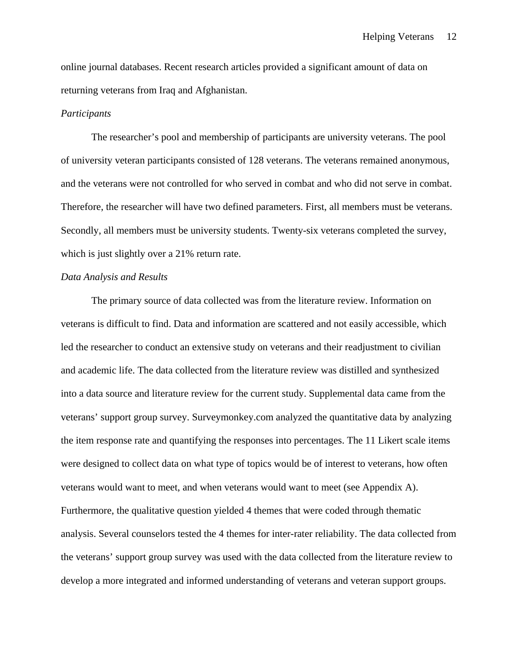online journal databases. Recent research articles provided a significant amount of data on returning veterans from Iraq and Afghanistan.

#### *Participants*

The researcher's pool and membership of participants are university veterans. The pool of university veteran participants consisted of 128 veterans. The veterans remained anonymous, and the veterans were not controlled for who served in combat and who did not serve in combat. Therefore, the researcher will have two defined parameters. First, all members must be veterans. Secondly, all members must be university students. Twenty-six veterans completed the survey, which is just slightly over a 21% return rate.

### *Data Analysis and Results*

The primary source of data collected was from the literature review. Information on veterans is difficult to find. Data and information are scattered and not easily accessible, which led the researcher to conduct an extensive study on veterans and their readjustment to civilian and academic life. The data collected from the literature review was distilled and synthesized into a data source and literature review for the current study. Supplemental data came from the veterans' support group survey. Surveymonkey.com analyzed the quantitative data by analyzing the item response rate and quantifying the responses into percentages. The 11 Likert scale items were designed to collect data on what type of topics would be of interest to veterans, how often veterans would want to meet, and when veterans would want to meet (see Appendix A). Furthermore, the qualitative question yielded 4 themes that were coded through thematic analysis. Several counselors tested the 4 themes for inter-rater reliability. The data collected from the veterans' support group survey was used with the data collected from the literature review to develop a more integrated and informed understanding of veterans and veteran support groups.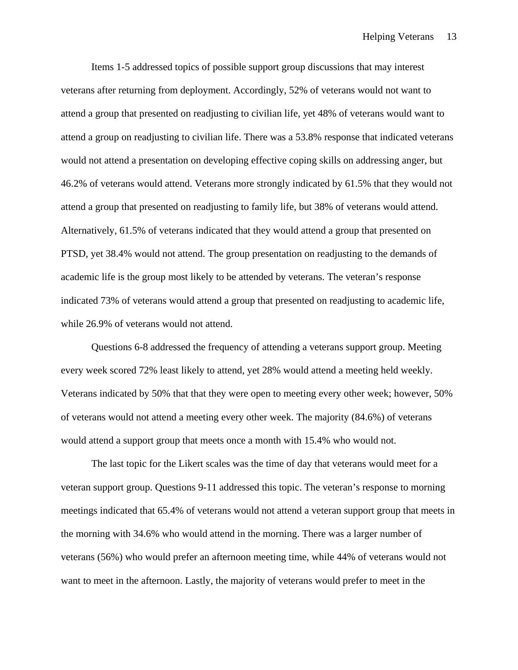Items 1-5 addressed topics of possible support group discussions that may interest veterans after returning from deployment. Accordingly, 52% of veterans would not want to attend a group that presented on readjusting to civilian life, yet 48% of veterans would want to attend a group on readjusting to civilian life. There was a 53.8% response that indicated veterans would not attend a presentation on developing effective coping skills on addressing anger, but 46.2% of veterans would attend. Veterans more strongly indicated by 61.5% that they would not attend a group that presented on readjusting to family life, but 38% of veterans would attend. Alternatively, 61.5% of veterans indicated that they would attend a group that presented on PTSD, yet 38.4% would not attend. The group presentation on readjusting to the demands of academic life is the group most likely to be attended by veterans. The veteran's response indicated 73% of veterans would attend a group that presented on readjusting to academic life, while 26.9% of veterans would not attend.

 Questions 6-8 addressed the frequency of attending a veterans support group. Meeting every week scored 72% least likely to attend, yet 28% would attend a meeting held weekly. Veterans indicated by 50% that that they were open to meeting every other week; however, 50% of veterans would not attend a meeting every other week. The majority (84.6%) of veterans would attend a support group that meets once a month with 15.4% who would not.

 The last topic for the Likert scales was the time of day that veterans would meet for a veteran support group. Questions 9-11 addressed this topic. The veteran's response to morning meetings indicated that 65.4% of veterans would not attend a veteran support group that meets in the morning with 34.6% who would attend in the morning. There was a larger number of veterans (56%) who would prefer an afternoon meeting time, while 44% of veterans would not want to meet in the afternoon. Lastly, the majority of veterans would prefer to meet in the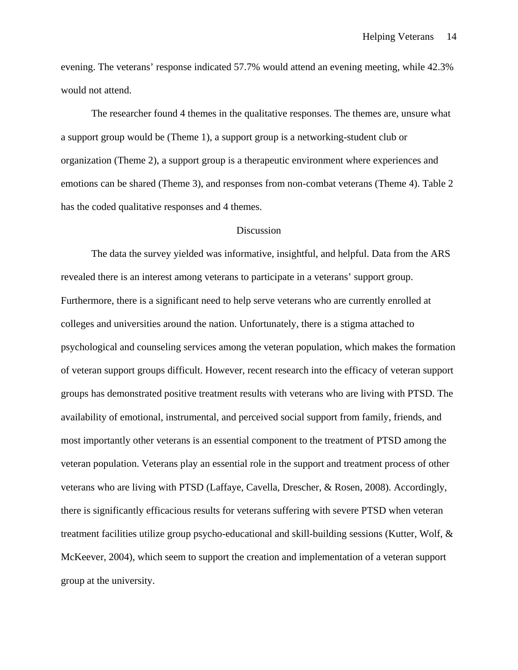evening. The veterans' response indicated 57.7% would attend an evening meeting, while 42.3% would not attend.

The researcher found 4 themes in the qualitative responses. The themes are, unsure what a support group would be (Theme 1), a support group is a networking-student club or organization (Theme 2), a support group is a therapeutic environment where experiences and emotions can be shared (Theme 3), and responses from non-combat veterans (Theme 4). Table 2 has the coded qualitative responses and 4 themes.

#### **Discussion**

The data the survey yielded was informative, insightful, and helpful. Data from the ARS revealed there is an interest among veterans to participate in a veterans' support group. Furthermore, there is a significant need to help serve veterans who are currently enrolled at colleges and universities around the nation. Unfortunately, there is a stigma attached to psychological and counseling services among the veteran population, which makes the formation of veteran support groups difficult. However, recent research into the efficacy of veteran support groups has demonstrated positive treatment results with veterans who are living with PTSD. The availability of emotional, instrumental, and perceived social support from family, friends, and most importantly other veterans is an essential component to the treatment of PTSD among the veteran population. Veterans play an essential role in the support and treatment process of other veterans who are living with PTSD (Laffaye, Cavella, Drescher, & Rosen, 2008). Accordingly, there is significantly efficacious results for veterans suffering with severe PTSD when veteran treatment facilities utilize group psycho-educational and skill-building sessions (Kutter, Wolf,  $\&$ McKeever, 2004), which seem to support the creation and implementation of a veteran support group at the university.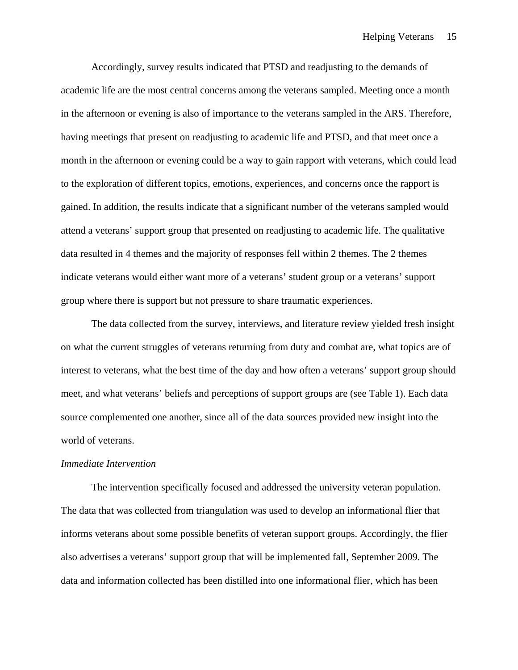Accordingly, survey results indicated that PTSD and readjusting to the demands of academic life are the most central concerns among the veterans sampled. Meeting once a month in the afternoon or evening is also of importance to the veterans sampled in the ARS. Therefore, having meetings that present on readjusting to academic life and PTSD, and that meet once a month in the afternoon or evening could be a way to gain rapport with veterans, which could lead to the exploration of different topics, emotions, experiences, and concerns once the rapport is gained. In addition, the results indicate that a significant number of the veterans sampled would attend a veterans' support group that presented on readjusting to academic life. The qualitative data resulted in 4 themes and the majority of responses fell within 2 themes. The 2 themes indicate veterans would either want more of a veterans' student group or a veterans' support group where there is support but not pressure to share traumatic experiences.

The data collected from the survey, interviews, and literature review yielded fresh insight on what the current struggles of veterans returning from duty and combat are, what topics are of interest to veterans, what the best time of the day and how often a veterans' support group should meet, and what veterans' beliefs and perceptions of support groups are (see Table 1). Each data source complemented one another, since all of the data sources provided new insight into the world of veterans.

#### *Immediate Intervention*

The intervention specifically focused and addressed the university veteran population. The data that was collected from triangulation was used to develop an informational flier that informs veterans about some possible benefits of veteran support groups. Accordingly, the flier also advertises a veterans' support group that will be implemented fall, September 2009. The data and information collected has been distilled into one informational flier, which has been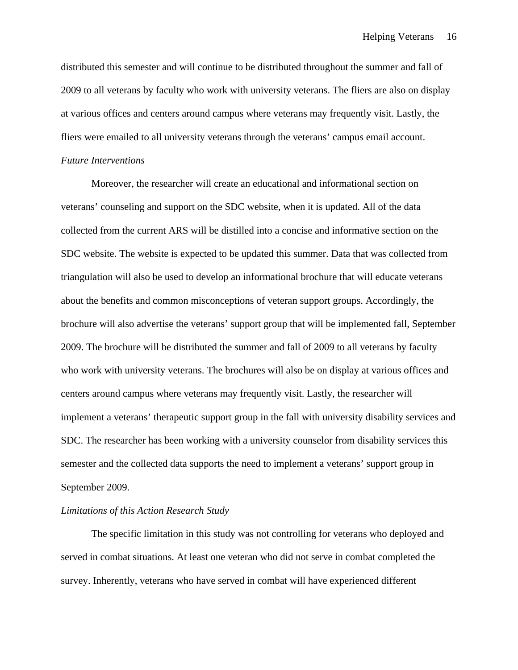distributed this semester and will continue to be distributed throughout the summer and fall of 2009 to all veterans by faculty who work with university veterans. The fliers are also on display at various offices and centers around campus where veterans may frequently visit. Lastly, the fliers were emailed to all university veterans through the veterans' campus email account.

### *Future Interventions*

Moreover, the researcher will create an educational and informational section on veterans' counseling and support on the SDC website, when it is updated. All of the data collected from the current ARS will be distilled into a concise and informative section on the SDC website. The website is expected to be updated this summer. Data that was collected from triangulation will also be used to develop an informational brochure that will educate veterans about the benefits and common misconceptions of veteran support groups. Accordingly, the brochure will also advertise the veterans' support group that will be implemented fall, September 2009. The brochure will be distributed the summer and fall of 2009 to all veterans by faculty who work with university veterans. The brochures will also be on display at various offices and centers around campus where veterans may frequently visit. Lastly, the researcher will implement a veterans' therapeutic support group in the fall with university disability services and SDC. The researcher has been working with a university counselor from disability services this semester and the collected data supports the need to implement a veterans' support group in September 2009.

#### *Limitations of this Action Research Study*

The specific limitation in this study was not controlling for veterans who deployed and served in combat situations. At least one veteran who did not serve in combat completed the survey. Inherently, veterans who have served in combat will have experienced different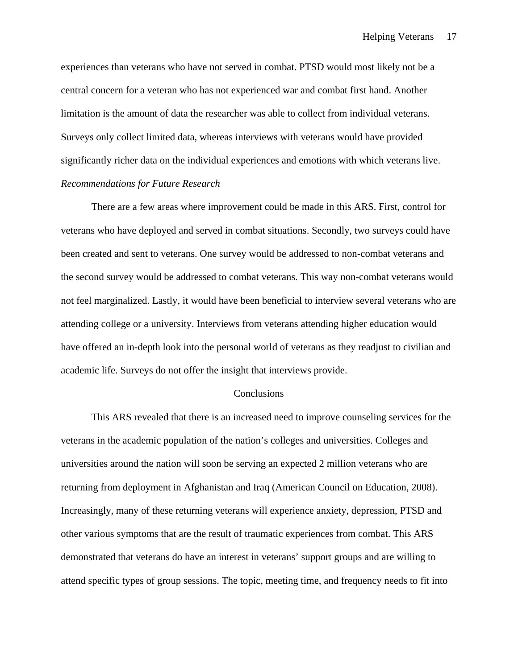experiences than veterans who have not served in combat. PTSD would most likely not be a central concern for a veteran who has not experienced war and combat first hand. Another limitation is the amount of data the researcher was able to collect from individual veterans. Surveys only collect limited data, whereas interviews with veterans would have provided significantly richer data on the individual experiences and emotions with which veterans live. *Recommendations for Future Research* 

There are a few areas where improvement could be made in this ARS. First, control for veterans who have deployed and served in combat situations. Secondly, two surveys could have been created and sent to veterans. One survey would be addressed to non-combat veterans and the second survey would be addressed to combat veterans. This way non-combat veterans would not feel marginalized. Lastly, it would have been beneficial to interview several veterans who are attending college or a university. Interviews from veterans attending higher education would have offered an in-depth look into the personal world of veterans as they readjust to civilian and academic life. Surveys do not offer the insight that interviews provide.

#### Conclusions

 This ARS revealed that there is an increased need to improve counseling services for the veterans in the academic population of the nation's colleges and universities. Colleges and universities around the nation will soon be serving an expected 2 million veterans who are returning from deployment in Afghanistan and Iraq (American Council on Education, 2008). Increasingly, many of these returning veterans will experience anxiety, depression, PTSD and other various symptoms that are the result of traumatic experiences from combat. This ARS demonstrated that veterans do have an interest in veterans' support groups and are willing to attend specific types of group sessions. The topic, meeting time, and frequency needs to fit into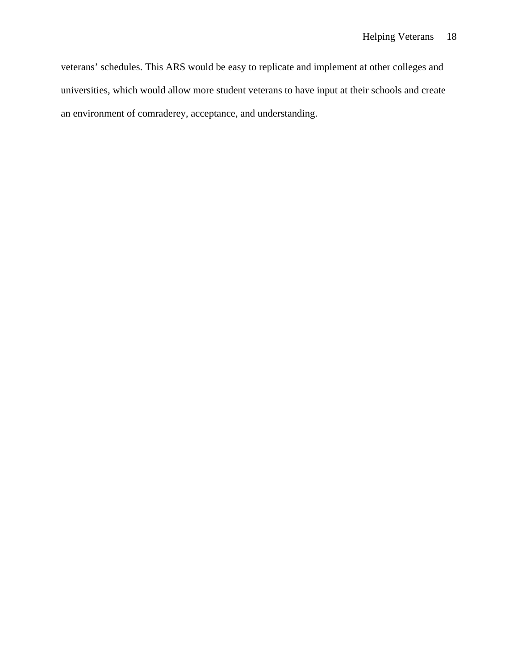veterans' schedules. This ARS would be easy to replicate and implement at other colleges and universities, which would allow more student veterans to have input at their schools and create an environment of comraderey, acceptance, and understanding.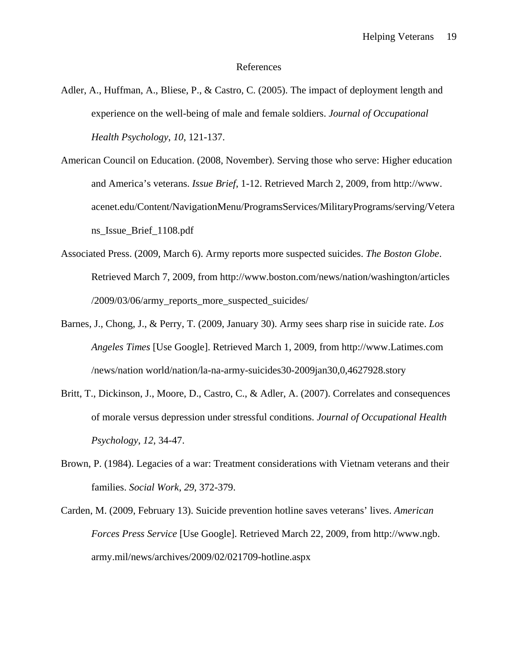#### References

- Adler, A., Huffman, A., Bliese, P., & Castro, C. (2005). The impact of deployment length and experience on the well-being of male and female soldiers. *Journal of Occupational Health Psychology*, *10*, 121-137.
- American Council on Education. (2008, November). Serving those who serve: Higher education and America's veterans. *Issue Brief*, 1-12. Retrieved March 2, 2009, from http://www. acenet.edu/Content/NavigationMenu/ProgramsServices/MilitaryPrograms/serving/Vetera ns\_Issue\_Brief\_1108.pdf
- Associated Press. (2009, March 6). Army reports more suspected suicides. *The Boston Globe*. Retrieved March 7, 2009, from http://www.boston.com/news/nation/washington/articles /2009/03/06/army\_reports\_more\_suspected\_suicides/
- Barnes, J., Chong, J., & Perry, T. (2009, January 30). Army sees sharp rise in suicide rate. *Los Angeles Times* [Use Google]. Retrieved March 1, 2009, from http://www.Latimes.com /news/nation world/nation/la-na-army-suicides30-2009jan30,0,4627928.story
- Britt, T., Dickinson, J., Moore, D., Castro, C., & Adler, A. (2007). Correlates and consequences of morale versus depression under stressful conditions. *Journal of Occupational Health Psychology*, *12*, 34-47.
- Brown, P. (1984). Legacies of a war: Treatment considerations with Vietnam veterans and their families. *Social Work*, *29*, 372-379.
- Carden, M. (2009, February 13). Suicide prevention hotline saves veterans' lives. *American Forces Press Service* [Use Google]. Retrieved March 22, 2009, from http://www.ngb. army.mil/news/archives/2009/02/021709-hotline.aspx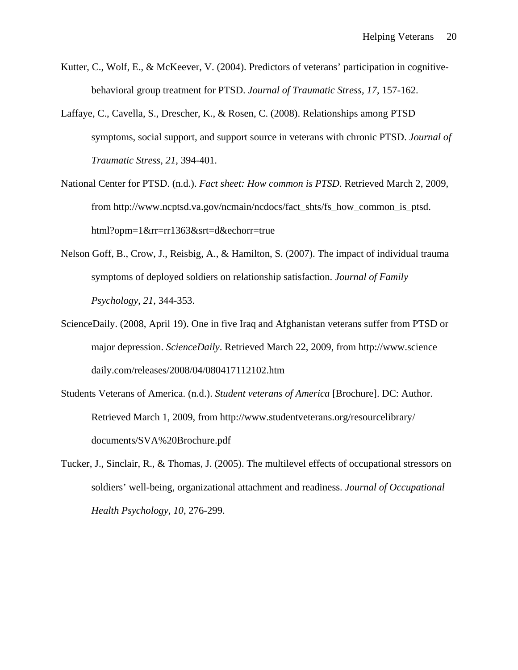- Kutter, C., Wolf, E., & McKeever, V. (2004). Predictors of veterans' participation in cognitivebehavioral group treatment for PTSD. *Journal of Traumatic Stress*, *17*, 157-162.
- Laffaye, C., Cavella, S., Drescher, K., & Rosen, C. (2008). Relationships among PTSD symptoms, social support, and support source in veterans with chronic PTSD. *Journal of Traumatic Stress*, *21*, 394-401.
- National Center for PTSD. (n.d.). *Fact sheet: How common is PTSD*. Retrieved March 2, 2009, from http://www.ncptsd.va.gov/ncmain/ncdocs/fact\_shts/fs\_how\_common\_is\_ptsd. html?opm=1&rr=rr1363&srt=d&echorr=true
- Nelson Goff, B., Crow, J., Reisbig, A., & Hamilton, S. (2007). The impact of individual trauma symptoms of deployed soldiers on relationship satisfaction. *Journal of Family Psychology*, *21*, 344-353.
- ScienceDaily. (2008, April 19). One in five Iraq and Afghanistan veterans suffer from PTSD or major depression. *ScienceDaily*. Retrieved March 22, 2009, from http://www.science daily.com/releases/2008/04/080417112102.htm
- Students Veterans of America. (n.d.). *Student veterans of America* [Brochure]. DC: Author. Retrieved March 1, 2009, from http://www.studentveterans.org/resourcelibrary/ documents/SVA%20Brochure.pdf
- Tucker, J., Sinclair, R., & Thomas, J. (2005). The multilevel effects of occupational stressors on soldiers' well-being, organizational attachment and readiness. *Journal of Occupational Health Psychology*, *10*, 276-299.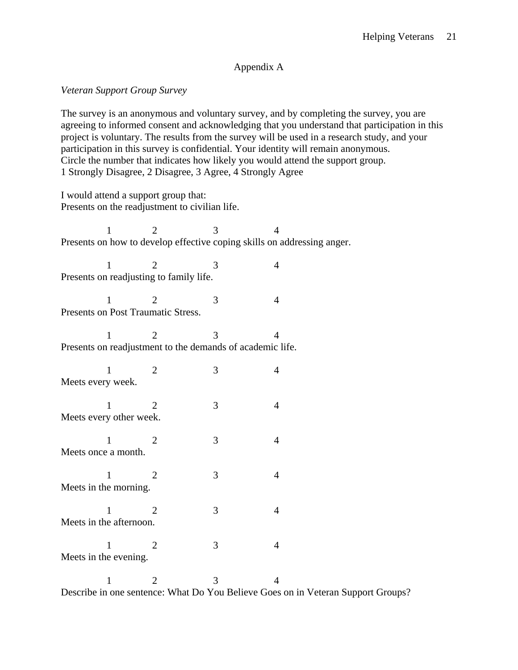### Appendix A

### *Veteran Support Group Survey*

The survey is an anonymous and voluntary survey, and by completing the survey, you are agreeing to informed consent and acknowledging that you understand that participation in this project is voluntary. The results from the survey will be used in a research study, and your participation in this survey is confidential. Your identity will remain anonymous. Circle the number that indicates how likely you would attend the support group. 1 Strongly Disagree, 2 Disagree, 3 Agree, 4 Strongly Agree

I would attend a support group that: Presents on the readjustment to civilian life.

1 2 3 4 Presents on how to develop effective coping skills on addressing anger. 1 2 3 4 Presents on readjusting to family life. 1 2 3 4 Presents on Post Traumatic Stress. 1 2 3 4 Presents on readjustment to the demands of academic life. 1 2 3 4 Meets every week. 1 2 3 4 Meets every other week. 1 2 3 4 Meets once a month. 1 2 3 4 Meets in the morning. 1 2 3 4 Meets in the afternoon. 1 2 3 4 Meets in the evening. 1 2 3 4 Describe in one sentence: What Do You Believe Goes on in Veteran Support Groups?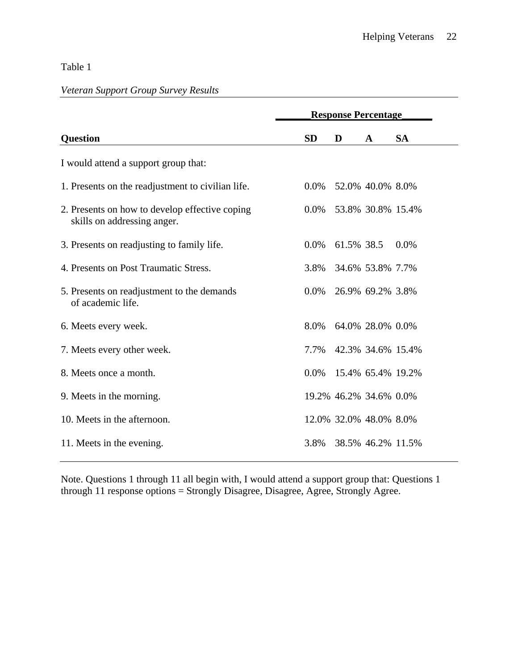# Table 1

# *Veteran Support Group Survey Results*

|                                                                               | <b>Response Percentage</b> |            |                        |           |
|-------------------------------------------------------------------------------|----------------------------|------------|------------------------|-----------|
| <b>Question</b>                                                               | <b>SD</b>                  | D          | $\mathbf A$            | <b>SA</b> |
| I would attend a support group that:                                          |                            |            |                        |           |
| 1. Presents on the readjustment to civilian life.                             | $0.0\%$                    |            | 52.0% 40.0% 8.0%       |           |
| 2. Presents on how to develop effective coping<br>skills on addressing anger. | $0.0\%$                    |            | 53.8% 30.8% 15.4%      |           |
| 3. Presents on readjusting to family life.                                    | $0.0\%$                    | 61.5% 38.5 |                        | 0.0%      |
| 4. Presents on Post Traumatic Stress.                                         | 3.8%                       |            | 34.6% 53.8% 7.7%       |           |
| 5. Presents on readjustment to the demands<br>of academic life.               | $0.0\%$                    |            | 26.9% 69.2% 3.8%       |           |
| 6. Meets every week.                                                          | 8.0%                       |            | 64.0% 28.0% 0.0%       |           |
| 7. Meets every other week.                                                    | 7.7%                       |            | 42.3% 34.6% 15.4%      |           |
| 8. Meets once a month.                                                        | $0.0\%$                    |            | 15.4% 65.4% 19.2%      |           |
| 9. Meets in the morning.                                                      |                            |            | 19.2% 46.2% 34.6% 0.0% |           |
| 10. Meets in the afternoon.                                                   |                            |            | 12.0% 32.0% 48.0% 8.0% |           |
| 11. Meets in the evening.                                                     | 3.8%                       |            | 38.5% 46.2% 11.5%      |           |

Note. Questions 1 through 11 all begin with, I would attend a support group that: Questions 1 through 11 response options = Strongly Disagree, Disagree, Agree, Strongly Agree.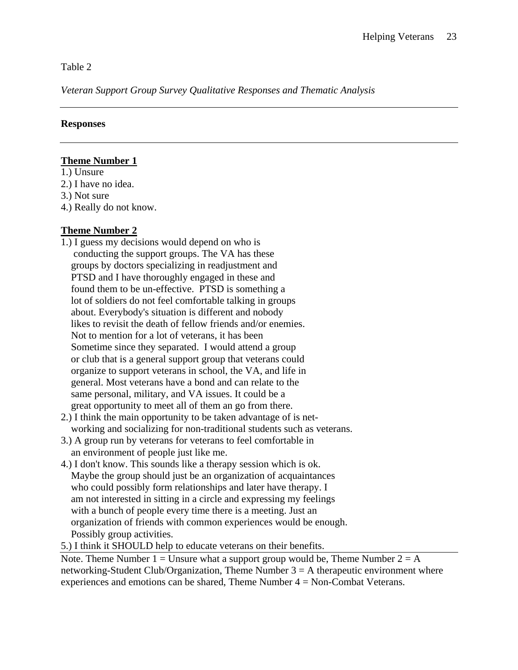Table 2

*Veteran Support Group Survey Qualitative Responses and Thematic Analysis* 

## **Responses**

## **Theme Number 1**

1.) Unsure 2.) I have no idea.

3.) Not sure

4.) Really do not know.

## **Theme Number 2**

- 1.) I guess my decisions would depend on who is conducting the support groups. The VA has these groups by doctors specializing in readjustment and PTSD and I have thoroughly engaged in these and found them to be un-effective. PTSD is something a lot of soldiers do not feel comfortable talking in groups about. Everybody's situation is different and nobody likes to revisit the death of fellow friends and/or enemies. Not to mention for a lot of veterans, it has been Sometime since they separated. I would attend a group or club that is a general support group that veterans could organize to support veterans in school, the VA, and life in general. Most veterans have a bond and can relate to the same personal, military, and VA issues. It could be a great opportunity to meet all of them an go from there.
- 2.) I think the main opportunity to be taken advantage of is net working and socializing for non-traditional students such as veterans.
- 3.) A group run by veterans for veterans to feel comfortable in an environment of people just like me.
- 4.) I don't know. This sounds like a therapy session which is ok. Maybe the group should just be an organization of acquaintances who could possibly form relationships and later have therapy. I am not interested in sitting in a circle and expressing my feelings with a bunch of people every time there is a meeting. Just an organization of friends with common experiences would be enough. Possibly group activities.

5.) I think it SHOULD help to educate veterans on their benefits.

Note. Theme Number 1 = Unsure what a support group would be, Theme Number  $2 = A$ networking-Student Club/Organization, Theme Number  $3 = A$  therapeutic environment where experiences and emotions can be shared, Theme Number 4 = Non-Combat Veterans.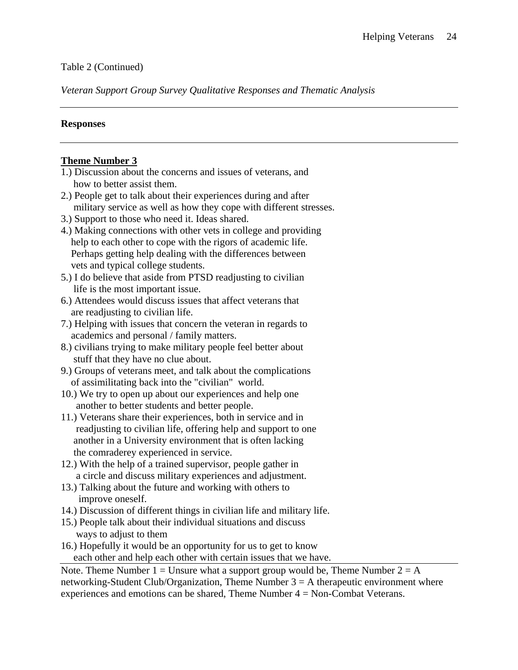## Table 2 (Continued)

*Veteran Support Group Survey Qualitative Responses and Thematic Analysis* 

## **Responses**

## **Theme Number 3**

- 1.) Discussion about the concerns and issues of veterans, and how to better assist them.
- 2.) People get to talk about their experiences during and after military service as well as how they cope with different stresses.
- 3.) Support to those who need it. Ideas shared.
- 4.) Making connections with other vets in college and providing help to each other to cope with the rigors of academic life. Perhaps getting help dealing with the differences between vets and typical college students.
- 5.) I do believe that aside from PTSD readjusting to civilian life is the most important issue.
- 6.) Attendees would discuss issues that affect veterans that are readjusting to civilian life.
- 7.) Helping with issues that concern the veteran in regards to academics and personal / family matters.
- 8.) civilians trying to make military people feel better about stuff that they have no clue about.
- 9.) Groups of veterans meet, and talk about the complications of assimilitating back into the "civilian" world.
- 10.) We try to open up about our experiences and help one another to better students and better people.
- 11.) Veterans share their experiences, both in service and in readjusting to civilian life, offering help and support to one another in a University environment that is often lacking the comraderey experienced in service.
- 12.) With the help of a trained supervisor, people gather in a circle and discuss military experiences and adjustment.
- 13.) Talking about the future and working with others to improve oneself.
- 14.) Discussion of different things in civilian life and military life.
- 15.) People talk about their individual situations and discuss ways to adjust to them
- 16.) Hopefully it would be an opportunity for us to get to know each other and help each other with certain issues that we have.

Note. Theme Number 1 = Unsure what a support group would be, Theme Number  $2 = A$ networking-Student Club/Organization, Theme Number  $3 = A$  therapeutic environment where experiences and emotions can be shared, Theme Number 4 = Non-Combat Veterans.